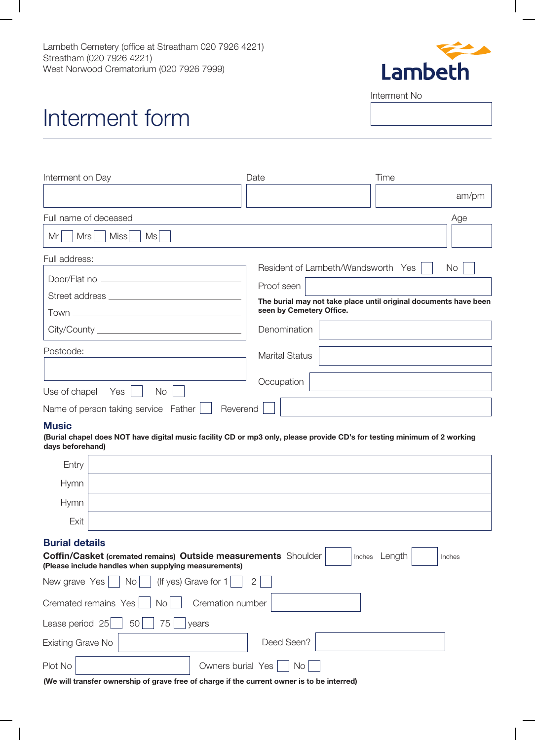

Interment No

## Interment form

| Interment on Day                                 | Date<br>Time                                                                                 |
|--------------------------------------------------|----------------------------------------------------------------------------------------------|
|                                                  | am/pm                                                                                        |
| Full name of deceased                            | Age                                                                                          |
| Miss<br>Mrs<br>Ms<br>Mr                          |                                                                                              |
| Full address:                                    | Resident of Lambeth/Wandsworth Yes<br><b>No</b>                                              |
|                                                  | Proof seen                                                                                   |
|                                                  | The burial may not take place until original documents have been<br>seen by Cemetery Office. |
|                                                  | Denomination                                                                                 |
| Postcode:                                        | <b>Marital Status</b>                                                                        |
| <b>No</b><br>Use of chapel $Yes \mid$            | Occupation                                                                                   |
| Name of person taking service Father<br>Reverend |                                                                                              |

## **Music**

**(Burial chapel does NOT have digital music facility CD or mp3 only, please provide CD's for testing minimum of 2 working days beforehand)** 

| Entry                                                                                                                                                                                                                                                                                                                                                                  |  |                          |  |
|------------------------------------------------------------------------------------------------------------------------------------------------------------------------------------------------------------------------------------------------------------------------------------------------------------------------------------------------------------------------|--|--------------------------|--|
| <b>Hymn</b>                                                                                                                                                                                                                                                                                                                                                            |  |                          |  |
| <b>Hymn</b>                                                                                                                                                                                                                                                                                                                                                            |  |                          |  |
| Exit                                                                                                                                                                                                                                                                                                                                                                   |  |                          |  |
| <b>Burial details</b><br><b>Coffin/Casket (cremated remains) Outside measurements</b> Shoulder<br>Length<br>Inches<br>Inches<br>(Please include handles when supplying measurements)<br>(If yes) Grave for $1$<br>New grave Yes<br>$\mid$ No $\mid$<br>$\overline{2}$<br>Cremation number<br>Cremated remains Yes<br><b>No</b><br>Lease period 25<br>75<br>50<br>years |  |                          |  |
| Existing Grave No                                                                                                                                                                                                                                                                                                                                                      |  | Deed Seen?               |  |
| Plot No                                                                                                                                                                                                                                                                                                                                                                |  | Owners burial Yes<br>No. |  |

**(We will transfer ownership of grave free of charge if the current owner is to be interred)**